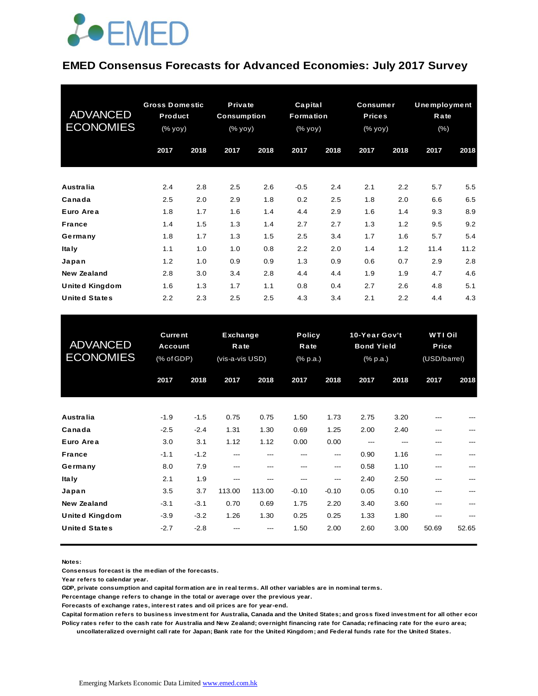#### **EMED Consensus Forecasts for Advanced Economies: July 2017 Survey**

| <b>ADVANCED</b><br><b>ECONOMIES</b> | <b>Gross Domestic</b><br>Product<br>(% yoy) |      | Private<br><b>Consumption</b><br>(% yoy) |      | Capital<br>Formation<br>$(% \mathbf{y}\right)$ (% $\overline{\mathbf{y}}$ $\overline{\mathbf{y}}$ $\overline{\mathbf{y}}$ $\overline{\mathbf{y}}$ |      | <b>Consumer</b><br><b>Prices</b><br>(% yoy) |      | <b>Unemployment</b><br>Rate<br>$(\% )$ |      |
|-------------------------------------|---------------------------------------------|------|------------------------------------------|------|---------------------------------------------------------------------------------------------------------------------------------------------------|------|---------------------------------------------|------|----------------------------------------|------|
|                                     | 2017                                        | 2018 | 2017                                     | 2018 | 2017                                                                                                                                              | 2018 | 2017                                        | 2018 | 2017                                   | 2018 |
| <b>Australia</b>                    | 2.4                                         | 2.8  | 2.5                                      | 2.6  | $-0.5$                                                                                                                                            | 2.4  | 2.1                                         | 2.2  | 5.7                                    | 5.5  |
| Canada                              | 2.5                                         | 2.0  | 2.9                                      | 1.8  | 0.2                                                                                                                                               | 2.5  | 1.8                                         | 2.0  | 6.6                                    | 6.5  |
| Euro Area                           | 1.8                                         | 1.7  | 1.6                                      | 1.4  | 4.4                                                                                                                                               | 2.9  | 1.6                                         | 1.4  | 9.3                                    | 8.9  |
| <b>France</b>                       | 1.4                                         | 1.5  | 1.3                                      | 1.4  | 2.7                                                                                                                                               | 2.7  | 1.3                                         | 1.2  | 9.5                                    | 9.2  |
| Germany                             | 1.8                                         | 1.7  | 1.3                                      | 1.5  | 2.5                                                                                                                                               | 3.4  | 1.7                                         | 1.6  | 5.7                                    | 5.4  |
| <b>Italy</b>                        | 1.1                                         | 1.0  | 1.0                                      | 0.8  | 2.2                                                                                                                                               | 2.0  | 1.4                                         | 1.2  | 11.4                                   | 11.2 |
| Japan                               | 1.2                                         | 1.0  | 0.9                                      | 0.9  | 1.3                                                                                                                                               | 0.9  | 0.6                                         | 0.7  | 2.9                                    | 2.8  |
| <b>New Zealand</b>                  | 2.8                                         | 3.0  | 3.4                                      | 2.8  | 4.4                                                                                                                                               | 4.4  | 1.9                                         | 1.9  | 4.7                                    | 4.6  |
| <b>United Kingdom</b>               | 1.6                                         | 1.3  | 1.7                                      | 1.1  | 0.8                                                                                                                                               | 0.4  | 2.7                                         | 2.6  | 4.8                                    | 5.1  |
| <b>United States</b>                | 2.2                                         | 2.3  | 2.5                                      | 2.5  | 4.3                                                                                                                                               | 3.4  | 2.1                                         | 2.2  | 4.4                                    | 4.3  |

| <b>United States</b>                        | 2.2                                            | 2.3              | 2.5                                 | 2.5           | 4.3                               | 3.4            | 2.1                                            | 2.2          | 4.4                                            | 4.3   |
|---------------------------------------------|------------------------------------------------|------------------|-------------------------------------|---------------|-----------------------------------|----------------|------------------------------------------------|--------------|------------------------------------------------|-------|
| <b>ADVANCED</b><br><b>ECONOMIES</b>         | <b>Current</b><br><b>Account</b><br>(% of GDP) |                  | Exchange<br>Rate<br>(vis-a-vis USD) |               | <b>Policy</b><br>Rate<br>(% p.a.) |                | 10-Year Gov't<br><b>Bond Yield</b><br>(% p.a.) |              | <b>WTI Oil</b><br><b>Price</b><br>(USD/barrel) |       |
|                                             | 2017                                           | 2018             | 2017                                | 2018          | 2017                              | 2018           | 2017                                           | 2018         | 2017                                           | 2018  |
| Australia                                   | $-1.9$                                         | $-1.5$           | 0.75                                | 0.75          | 1.50                              | 1.73           | 2.75                                           | 3.20         |                                                |       |
| Canada<br>Euro Area                         | $-2.5$<br>3.0                                  | $-2.4$<br>3.1    | 1.31<br>1.12                        | 1.30<br>1.12  | 0.69<br>0.00                      | 1.25<br>0.00   | 2.00<br>$---$                                  | 2.40<br>---  | ---<br>---                                     |       |
| <b>France</b><br>Germany                    | $-1.1$<br>8.0                                  | $-1.2$<br>7.9    | $---$<br>---                        | ---<br>---    | ---<br>---                        | ---<br>---     | 0.90<br>0.58                                   | 1.16<br>1.10 | ---<br>---                                     |       |
| <b>Italy</b><br>Japan                       | 2.1<br>3.5                                     | 1.9<br>3.7       | ---<br>113.00                       | ---<br>113.00 | ---<br>$-0.10$                    | ---<br>$-0.10$ | 2.40<br>0.05                                   | 2.50<br>0.10 | ---<br>---                                     |       |
| <b>New Zealand</b><br><b>United Kingdom</b> | $-3.1$<br>$-3.9$                               | $-3.1$<br>$-3.2$ | 0.70<br>1.26                        | 0.69<br>1.30  | 1.75<br>0.25                      | 2.20<br>0.25   | 3.40<br>1.33                                   | 3.60<br>1.80 | ---<br>---                                     |       |
| <b>United States</b>                        | $-2.7$                                         | $-2.8$           |                                     | ---           | 1.50                              | 2.00           | 2.60                                           | 3.00         | 50.69                                          | 52.65 |

**Notes:** 

**Consensus forecast is the median of the forecasts.**

**Year refers to calendar year.**

**GDP, private consumption and capital formation are in real terms. All other variables are in nominal terms.**

**Percentage change refers to change in the total or average over the previous year.**

**Forecasts of exchange rates, interest rates and oil prices are for year-end.**

**Capital formation refers to business investment for Australia, Canada and the United States; and gross fixed investment for all other economies. Policy rates refer to the cash rate for Australia and New Zealand; overnight financing rate for Canada; refinacing rate for the euro area;** 

 **uncollateralized overnight call rate for Japan; Bank rate for the United Kingdom; and Federal funds rate for the United States.**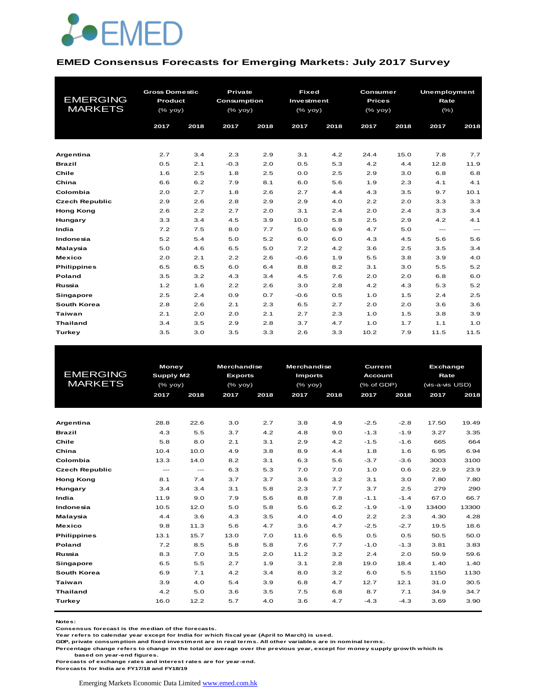

#### **EMED Consensus Forecasts for Emerging Markets: July 2017 Survey**

| <b>EMERGING</b><br><b>MARKETS</b> | <b>Gross Domestic</b><br>Product<br>$(%$ (% yoy)<br>2017 | 2018 | <b>Private</b><br><b>Consumption</b><br>$(\frac{9}{6}$ yoy)<br>2017 | 2018 | <b>Fixed</b><br>Investment<br>$(\%$ yoy)<br>2017 | 2018 | Consumer<br><b>Prices</b><br>$(\frac{9}{6}$ yoy)<br>2017 | 2018 | Unemployment<br>Rate<br>$(\% )$<br>2017 | 2018    |
|-----------------------------------|----------------------------------------------------------|------|---------------------------------------------------------------------|------|--------------------------------------------------|------|----------------------------------------------------------|------|-----------------------------------------|---------|
| Argentina                         | 2.7                                                      | 3.4  | 2.3                                                                 | 2.9  | 3.1                                              | 4.2  | 24.4                                                     | 15.0 | 7.8                                     | 7.7     |
| <b>Brazil</b>                     | 0.5                                                      | 2.1  | $-0.3$                                                              | 2.0  | 0.5                                              | 5.3  | 4.2                                                      | 4.4  | 12.8                                    | 11.9    |
| Chile                             | 1.6                                                      | 2.5  | 1.8                                                                 | 2.5  | 0.0                                              | 2.5  | 2.9                                                      | 3.0  | 6.8                                     | 6.8     |
| China                             | 6.6                                                      | 6.2  | 7.9                                                                 | 8.1  | 6.0                                              | 5.6  | 1.9                                                      | 2.3  | 4.1                                     | 4.1     |
| Colombia                          | 2.0                                                      | 2.7  | 1.8                                                                 | 2.6  | 2.7                                              | 4.4  | 4.3                                                      | 3.5  | 9.7                                     | 10.1    |
| <b>Czech Republic</b>             | 2.9                                                      | 2.6  | 2.8                                                                 | 2.9  | 2.9                                              | 4.0  | 2.2                                                      | 2.0  | 3.3                                     | 3.3     |
| <b>Hong Kong</b>                  | 2.6                                                      | 2.2  | 2.7                                                                 | 2.0  | 3.1                                              | 2.4  | 2.0                                                      | 2.4  | 3.3                                     | 3.4     |
| Hungary                           | 3.3                                                      | 3.4  | 4.5                                                                 | 3.9  | 10.0                                             | 5.8  | 2.5                                                      | 2.9  | 4.2                                     | 4.1     |
| India                             | 7.2                                                      | 7.5  | 8.0                                                                 | 7.7  | 5.0                                              | 6.9  | 4.7                                                      | 5.0  | $\frac{1}{2}$                           | $- - -$ |
| Indonesia                         | 5.2                                                      | 5.4  | 5.0                                                                 | 5.2  | 6.0                                              | 6.0  | 4.3                                                      | 4.5  | 5.6                                     | 5.6     |
| Malaysia                          | 5.0                                                      | 4.6  | 6.5                                                                 | 5.0  | 7.2                                              | 4.2  | 3.6                                                      | 2.5  | 3.5                                     | 3.4     |
| <b>Mexico</b>                     | 2.0                                                      | 2.1  | 2.2                                                                 | 2.6  | $-0.6$                                           | 1.9  | 5.5                                                      | 3.8  | 3.9                                     | 4.0     |
| <b>Philippines</b>                | 6.5                                                      | 6.5  | 6.0                                                                 | 6.4  | 8.8                                              | 8.2  | 3.1                                                      | 3.0  | 5.5                                     | 5.2     |
| Poland                            | 3.5                                                      | 3.2  | 4.3                                                                 | 3.4  | 4.5                                              | 7.6  | 2.0                                                      | 2.0  | 6.8                                     | 6.0     |
| Russia                            | 1.2                                                      | 1.6  | 2.2                                                                 | 2.6  | 3.0                                              | 2.8  | 4.2                                                      | 4.3  | 5.3                                     | 5.2     |
| Singapore                         | 2.5                                                      | 2.4  | 0.9                                                                 | 0.7  | $-0.6$                                           | 0.5  | 1.0                                                      | 1.5  | 2.4                                     | 2.5     |
| <b>South Korea</b>                | 2.8                                                      | 2.6  | 2.1                                                                 | 2.3  | 6.5                                              | 2.7  | 2.0                                                      | 2.0  | 3.6                                     | 3.6     |
| Taiwan                            | 2.1                                                      | 2.0  | 2.0                                                                 | 2.1  | 2.7                                              | 2.3  | 1.0                                                      | 1.5  | 3.8                                     | 3.9     |
| <b>Thailand</b>                   | 3.4                                                      | 3.5  | 2.9                                                                 | 2.8  | 3.7                                              | 4.7  | 1.0                                                      | 1.7  | 1.1                                     | 1.0     |
| Turkey                            | 3.5                                                      | 3.0  | 3.5                                                                 | 3.3  | 2.6                                              | 3.3  | 10.2                                                     | 7.9  | 11.5                                    | 11.5    |

|                       | <b>Money</b>  |               | <b>Merchandise</b> |      | <b>Merchandise</b> |      | <b>Current</b> |        |                 | <b>Exchange</b> |  |
|-----------------------|---------------|---------------|--------------------|------|--------------------|------|----------------|--------|-----------------|-----------------|--|
| <b>EMERGING</b>       | Supply M2     |               | <b>Exports</b>     |      | <b>Imports</b>     |      | <b>Account</b> |        | Rate            |                 |  |
| <b>MARKETS</b>        | $(%$ yoy)     |               | $(%$ (% yoy)       |      | $(%$ $(y_0, y_0),$ |      | (% of GDP)     |        | (vis-a-vis USD) |                 |  |
|                       | 2017          | 2018          | 2017               | 2018 | 2017               | 2018 | 2017           | 2018   | 2017            | 2018            |  |
|                       |               |               |                    |      |                    |      |                |        |                 |                 |  |
|                       |               |               |                    |      |                    |      |                |        |                 |                 |  |
| Argentina             | 28.8          | 22.6          | 3.0                | 2.7  | 3.8                | 4.9  | $-2.5$         | $-2.8$ | 17.50           | 19.49           |  |
| <b>Brazil</b>         | 4.3           | 5.5           | 3.7                | 4.2  | 4.8                | 9.0  | $-1.3$         | $-1.9$ | 3.27            | 3.35            |  |
| Chile                 | 5.8           | 8.0           | 2.1                | 3.1  | 2.9                | 4.2  | $-1.5$         | $-1.6$ | 665             | 664             |  |
| China                 | 10.4          | 10.0          | 4.9                | 3.8  | 8.9                | 4.4  | 1.8            | 1.6    | 6.95            | 6.94            |  |
| Colombia              | 13.3          | 14.0          | 8.2                | 3.1  | 6.3                | 5.6  | $-3.7$         | $-3.6$ | 3003            | 3100            |  |
| <b>Czech Republic</b> | $\frac{1}{2}$ | $\frac{1}{2}$ | 6.3                | 5.3  | 7.0                | 7.0  | 1.0            | 0.6    | 22.9            | 23.9            |  |
| <b>Hong Kong</b>      | 8.1           | 7.4           | 3.7                | 3.7  | 3.6                | 3.2  | 3.1            | 3.0    | 7.80            | 7.80            |  |
| Hungary               | 3.4           | 3.4           | 3.1                | 5.8  | 2.3                | 7.7  | 3.7            | 2.5    | 279             | 290             |  |
| India                 | 11.9          | 9.0           | 7.9                | 5.6  | 8.8                | 7.8  | $-1.1$         | $-1.4$ | 67.0            | 66.7            |  |
| Indonesia             | 10.5          | 12.0          | 5.0                | 5.8  | 5.6                | 6.2  | $-1.9$         | $-1.9$ | 13400           | 13300           |  |
| Malaysia              | 4.4           | 3.6           | 4.3                | 3.5  | 4.0                | 4.0  | 2.2            | 2.3    | 4.30            | 4.28            |  |
| <b>Mexico</b>         | 9.8           | 11.3          | 5.6                | 4.7  | 3.6                | 4.7  | $-2.5$         | $-2.7$ | 19.5            | 18.6            |  |
| <b>Philippines</b>    | 13.1          | 15.7          | 13.0               | 7.0  | 11.6               | 6.5  | 0.5            | 0.5    | 50.5            | 50.0            |  |
| Poland                | 7.2           | 8.5           | 5.8                | 5.8  | 7.6                | 7.7  | $-1.0$         | $-1.3$ | 3.81            | 3.83            |  |
| Russia                | 8.3           | 7.0           | 3.5                | 2.0  | 11.2               | 3.2  | 2.4            | 2.0    | 59.9            | 59.6            |  |
| <b>Singapore</b>      | 6.5           | 5.5           | 2.7                | 1.9  | 3.1                | 2.8  | 19.0           | 18.4   | 1.40            | 1.40            |  |
| <b>South Korea</b>    | 6.9           | 7.1           | 4.2                | 3.4  | 8.0                | 3.2  | 6.0            | 5.5    | 1150            | 1130            |  |
| Taiwan                | 3.9           | 4.0           | 5.4                | 3.9  | 6.8                | 4.7  | 12.7           | 12.1   | 31.0            | 30.5            |  |
| <b>Thailand</b>       | 4.2           | 5.0           | 3.6                | 3.5  | 7.5                | 6.8  | 8.7            | 7.1    | 34.9            | 34.7            |  |
| <b>Turkey</b>         | 16.0          | 12.2          | 5.7                | 4.0  | 3.6                | 4.7  | $-4.3$         | $-4.3$ | 3.69            | 3.90            |  |
|                       |               |               |                    |      |                    |      |                |        |                 |                 |  |

**Notes:** 

**Consensus forecast is the median of the forecasts.**

**Year refers to calendar year except for India for which fiscal year (April to March) is used.**

**GDP, private consumption and fixed investment are in real terms. All other variables are in nominal terms.**

**Percentage change refers to change in the total or average over the previous year, except for money supply growth which is** 

 **based on year-end figures.**

**Forecasts for India are FY17/18 and FY18/19**

**Forecasts of exchange rates and interest rates are for year-end.**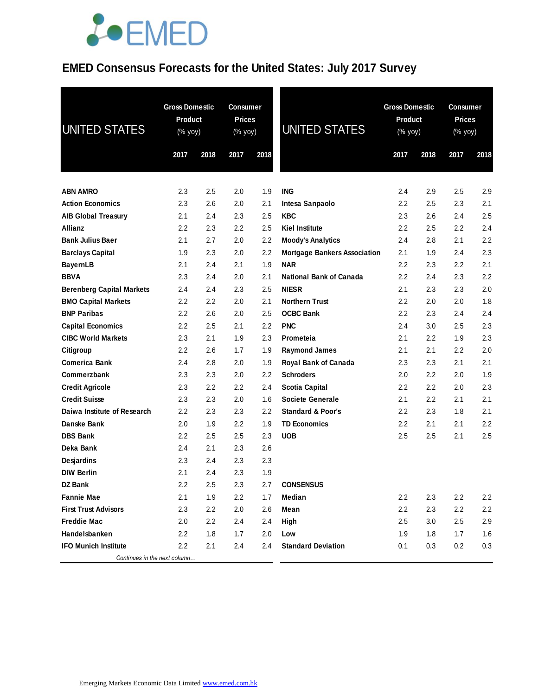### **EMED Consensus Forecasts for the United States: July 2017 Survey**

| <b>UNITED STATES</b>             | <b>Gross Domestic</b><br>Product<br>$(% \mathsf{Y}^{\prime }\mathsf{Y}^{\prime }\mathsf{Y}^{\prime })$ |      | Consumer<br><b>Prices</b><br>(% yoy) |      | <b>UNITED STATES</b>                |                  | <b>Gross Domestic</b><br>Product<br>(% yoy) |         | <b>Consumer</b><br><b>Prices</b><br>(% yoy) |
|----------------------------------|--------------------------------------------------------------------------------------------------------|------|--------------------------------------|------|-------------------------------------|------------------|---------------------------------------------|---------|---------------------------------------------|
|                                  | 2017                                                                                                   | 2018 | 2017                                 | 2018 |                                     | 2017             | 2018                                        | 2017    | 2018                                        |
| <b>ABN AMRO</b>                  | 2.3                                                                                                    | 2.5  | 2.0                                  | 1.9  | <b>ING</b>                          | 2.4              | 2.9                                         | 2.5     | 2.9                                         |
| <b>Action Economics</b>          | 2.3                                                                                                    | 2.6  | 2.0                                  | 2.1  | Intesa Sanpaolo                     | 2.2              | 2.5                                         | 2.3     | 2.1                                         |
| <b>AIB Global Treasury</b>       | 2.1                                                                                                    | 2.4  | 2.3                                  | 2.5  | <b>KBC</b>                          | 2.3              | 2.6                                         | 2.4     | 2.5                                         |
| <b>Allianz</b>                   | 2.2                                                                                                    | 2.3  | $2.2\,$                              | 2.5  | <b>Kiel Institute</b>               | 2.2              | 2.5                                         | $2.2\,$ | 2.4                                         |
| <b>Bank Julius Baer</b>          | 2.1                                                                                                    | 2.7  | 2.0                                  | 2.2  | <b>Moody's Analytics</b>            | 2.4              | 2.8                                         | 2.1     | 2.2                                         |
| <b>Barclays Capital</b>          | 1.9                                                                                                    | 2.3  | 2.0                                  | 2.2  | <b>Mortgage Bankers Association</b> | 2.1              | 1.9                                         | 2.4     | 2.3                                         |
| <b>BayernLB</b>                  | 2.1                                                                                                    | 2.4  | 2.1                                  | 1.9  | <b>NAR</b>                          | 2.2              | 2.3                                         | $2.2\,$ | 2.1                                         |
| <b>BBVA</b>                      | 2.3                                                                                                    | 2.4  | 2.0                                  | 2.1  | <b>National Bank of Canada</b>      | $2.2\phantom{0}$ | 2.4                                         | 2.3     | 2.2                                         |
| <b>Berenberg Capital Markets</b> | 2.4                                                                                                    | 2.4  | 2.3                                  | 2.5  | <b>NIESR</b>                        | 2.1              | 2.3                                         | 2.3     | 2.0                                         |
| <b>BMO Capital Markets</b>       | 2.2                                                                                                    | 2.2  | 2.0                                  | 2.1  | <b>Northern Trust</b>               | 2.2              | 2.0                                         | 2.0     | 1.8                                         |
| <b>BNP Paribas</b>               | 2.2                                                                                                    | 2.6  | 2.0                                  | 2.5  | <b>OCBC Bank</b>                    | 2.2              | 2.3                                         | 2.4     | 2.4                                         |
| <b>Capital Economics</b>         | 2.2                                                                                                    | 2.5  | 2.1                                  | 2.2  | <b>PNC</b>                          | 2.4              | 3.0                                         | 2.5     | 2.3                                         |
| <b>CIBC World Markets</b>        | 2.3                                                                                                    | 2.1  | 1.9                                  | 2.3  | Prometeia                           | 2.1              | 2.2                                         | 1.9     | 2.3                                         |
| Citigroup                        | 2.2                                                                                                    | 2.6  | 1.7                                  | 1.9  | <b>Raymond James</b>                | 2.1              | 2.1                                         | 2.2     | 2.0                                         |
| <b>Comerica Bank</b>             | 2.4                                                                                                    | 2.8  | 2.0                                  | 1.9  | Royal Bank of Canada                | 2.3              | 2.3                                         | 2.1     | 2.1                                         |
| Commerzbank                      | 2.3                                                                                                    | 2.3  | 2.0                                  | 2.2  | <b>Schroders</b>                    | 2.0              | 2.2                                         | 2.0     | 1.9                                         |
| <b>Credit Agricole</b>           | 2.3                                                                                                    | 2.2  | 2.2                                  | 2.4  | <b>Scotia Capital</b>               | 2.2              | 2.2                                         | 2.0     | 2.3                                         |
| <b>Credit Suisse</b>             | 2.3                                                                                                    | 2.3  | 2.0                                  | 1.6  | <b>Societe Generale</b>             | 2.1              | 2.2                                         | 2.1     | 2.1                                         |
| Daiwa Institute of Research      | 2.2                                                                                                    | 2.3  | 2.3                                  | 2.2  | <b>Standard &amp; Poor's</b>        | 2.2              | 2.3                                         | 1.8     | 2.1                                         |
| Danske Bank                      | 2.0                                                                                                    | 1.9  | 2.2                                  | 1.9  | <b>TD Economics</b>                 | 2.2              | 2.1                                         | 2.1     | 2.2                                         |
| <b>DBS Bank</b>                  | 2.2                                                                                                    | 2.5  | 2.5                                  | 2.3  | <b>UOB</b>                          | 2.5              | 2.5                                         | 2.1     | 2.5                                         |
| Deka Bank                        | 2.4                                                                                                    | 2.1  | 2.3                                  | 2.6  |                                     |                  |                                             |         |                                             |
| Desjardins                       | 2.3                                                                                                    | 2.4  | 2.3                                  | 2.3  |                                     |                  |                                             |         |                                             |
| <b>DIW Berlin</b>                | 2.1                                                                                                    | 2.4  | 2.3                                  | 1.9  |                                     |                  |                                             |         |                                             |
| DZ Bank                          | 2.2                                                                                                    | 2.5  | 2.3                                  | 2.7  | <b>CONSENSUS</b>                    |                  |                                             |         |                                             |
| <b>Fannie Mae</b>                | 2.1                                                                                                    | 1.9  | 2.2                                  | 1.7  | Median                              | $2.2\phantom{0}$ | 2.3                                         | 2.2     | 2.2                                         |
| <b>First Trust Advisors</b>      | 2.3                                                                                                    | 2.2  | 2.0                                  | 2.6  | Mean                                | 2.2              | 2.3                                         | 2.2     | 2.2                                         |
| <b>Freddie Mac</b>               | 2.0                                                                                                    | 2.2  | 2.4                                  | 2.4  | High                                | 2.5              | 3.0                                         | 2.5     | 2.9                                         |
| Handelsbanken                    | $2.2\phantom{0}$                                                                                       | 1.8  | 1.7                                  | 2.0  | Low                                 | 1.9              | 1.8                                         | 1.7     | 1.6                                         |
| <b>IFO Munich Institute</b>      | 2.2                                                                                                    | 2.1  | 2.4                                  | 2.4  | <b>Standard Deviation</b>           | 0.1              | 0.3                                         | 0.2     | 0.3                                         |
| Continues in the next column     |                                                                                                        |      |                                      |      |                                     |                  |                                             |         |                                             |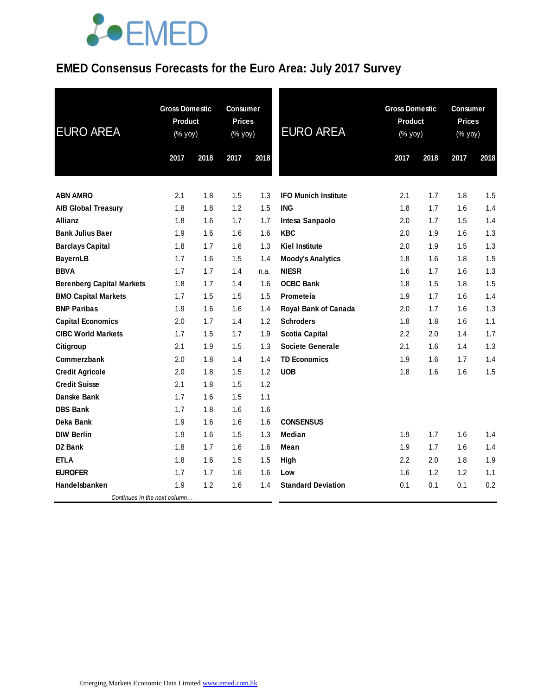### **EMED Consensus Forecasts for the Euro Area: July 2017 Survey**

| <b>EURO AREA</b>                 | <b>Gross Domestic</b><br>Product<br>(% yoy) |      | <b>Consumer</b><br><b>Prices</b><br>(% yoy) |      | <b>EURO AREA</b>            | <b>Gross Domestic</b><br>Product<br>(% yoy) |      | <b>Consumer</b><br><b>Prices</b><br>(% yoy) |      |
|----------------------------------|---------------------------------------------|------|---------------------------------------------|------|-----------------------------|---------------------------------------------|------|---------------------------------------------|------|
|                                  | 2017                                        | 2018 | 2017                                        | 2018 |                             | 2017                                        | 2018 | 2017                                        | 2018 |
| <b>ABN AMRO</b>                  | 2.1                                         | 1.8  | 1.5                                         | 1.3  | <b>IFO Munich Institute</b> | 2.1                                         | 1.7  | 1.8                                         | 1.5  |
| <b>AIB Global Treasury</b>       | 1.8                                         | 1.8  | 1.2                                         | 1.5  | <b>ING</b>                  | 1.8                                         | 1.7  | 1.6                                         | 1.4  |
| <b>Allianz</b>                   | 1.8                                         | 1.6  | 1.7                                         | 1.7  | Intesa Sanpaolo             | 2.0                                         | 1.7  | 1.5                                         | 1.4  |
| <b>Bank Julius Baer</b>          | 1.9                                         | 1.6  | 1.6                                         | 1.6  | <b>KBC</b>                  | 2.0                                         | 1.9  | 1.6                                         | 1.3  |
| <b>Barclays Capital</b>          | 1.8                                         | 1.7  | 1.6                                         | 1.3  | <b>Kiel Institute</b>       | 2.0                                         | 1.9  | 1.5                                         | 1.3  |
| <b>BayernLB</b>                  | 1.7                                         | 1.6  | 1.5                                         | 1.4  | <b>Moody's Analytics</b>    | 1.8                                         | 1.6  | 1.8                                         | 1.5  |
| <b>BBVA</b>                      | 1.7                                         | 1.7  | 1.4                                         | n.a. | <b>NIESR</b>                | 1.6                                         | 1.7  | 1.6                                         | 1.3  |
| <b>Berenberg Capital Markets</b> | 1.8                                         | 1.7  | 1.4                                         | 1.6  | <b>OCBC Bank</b>            | 1.8                                         | 1.5  | 1.8                                         | 1.5  |
| <b>BMO Capital Markets</b>       | 1.7                                         | 1.5  | 1.5                                         | 1.5  | Prometeia                   | 1.9                                         | 1.7  | 1.6                                         | 1.4  |
| <b>BNP Paribas</b>               | 1.9                                         | 1.6  | 1.6                                         | 1.4  | Royal Bank of Canada        | 2.0                                         | 1.7  | 1.6                                         | 1.3  |
| <b>Capital Economics</b>         | 2.0                                         | 1.7  | 1.4                                         | 1.2  | <b>Schroders</b>            | 1.8                                         | 1.8  | 1.6                                         | 1.1  |
| <b>CIBC World Markets</b>        | 1.7                                         | 1.5  | 1.7                                         | 1.9  | <b>Scotia Capital</b>       | $2.2\,$                                     | 2.0  | 1.4                                         | 1.7  |
| Citigroup                        | 2.1                                         | 1.9  | 1.5                                         | 1.3  | <b>Societe Generale</b>     | 2.1                                         | 1.6  | 1.4                                         | 1.3  |
| Commerzbank                      | 2.0                                         | 1.8  | 1.4                                         | 1.4  | <b>TD Economics</b>         | 1.9                                         | 1.6  | 1.7                                         | 1.4  |
| <b>Credit Agricole</b>           | 2.0                                         | 1.8  | 1.5                                         | 1.2  | <b>UOB</b>                  | 1.8                                         | 1.6  | 1.6                                         | 1.5  |
| <b>Credit Suisse</b>             | 2.1                                         | 1.8  | 1.5                                         | 1.2  |                             |                                             |      |                                             |      |
| Danske Bank                      | 1.7                                         | 1.6  | 1.5                                         | 1.1  |                             |                                             |      |                                             |      |
| <b>DBS Bank</b>                  | 1.7                                         | 1.8  | 1.6                                         | 1.6  |                             |                                             |      |                                             |      |
| Deka Bank                        | 1.9                                         | 1.6  | 1.6                                         | 1.6  | <b>CONSENSUS</b>            |                                             |      |                                             |      |
| <b>DIW Berlin</b>                | 1.9                                         | 1.6  | 1.5                                         | 1.3  | Median                      | 1.9                                         | 1.7  | 1.6                                         | 1.4  |
| DZ Bank                          | 1.8                                         | 1.7  | 1.6                                         | 1.6  | Mean                        | 1.9                                         | 1.7  | 1.6                                         | 1.4  |
| <b>ETLA</b>                      | 1.8                                         | 1.6  | 1.5                                         | 1.5  | <b>High</b>                 | 2.2                                         | 2.0  | 1.8                                         | 1.9  |
| <b>EUROFER</b>                   | 1.7                                         | 1.7  | 1.6                                         | 1.6  | Low                         | 1.6                                         | 1.2  | 1.2                                         | 1.1  |
| Handelsbanken                    | 1.9                                         | 1.2  | 1.6                                         | 1.4  | <b>Standard Deviation</b>   | 0.1                                         | 0.1  | 0.1                                         | 0.2  |
| Continues in the next column     |                                             |      |                                             |      |                             |                                             |      |                                             |      |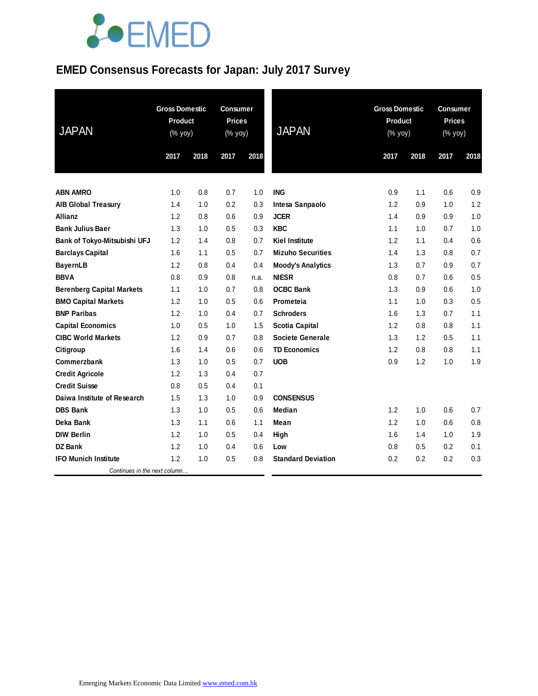### **EMED Consensus Forecasts for Japan: July 2017 Survey**

| <b>JAPAN</b>                     | <b>Gross Domestic</b><br>Product<br>(% yoy) |      | <b>Consumer</b><br><b>Prices</b><br>(% yoy) |      | <b>JAPAN</b>              | <b>Gross Domestic</b><br><b>Product</b><br>$(% \mathsf{Y}\rightarrow \mathsf{Y})$ |      | <b>Consumer</b><br><b>Prices</b><br>(% yoy) |      |
|----------------------------------|---------------------------------------------|------|---------------------------------------------|------|---------------------------|-----------------------------------------------------------------------------------|------|---------------------------------------------|------|
|                                  | 2017                                        | 2018 | 2017                                        | 2018 |                           | 2017                                                                              | 2018 | 2017                                        | 2018 |
|                                  |                                             |      |                                             |      |                           |                                                                                   |      |                                             |      |
| <b>ABN AMRO</b>                  | 1.0                                         | 0.8  | 0.7                                         | 1.0  | <b>ING</b>                | 0.9                                                                               | 1.1  | 0.6                                         | 0.9  |
| <b>AIB Global Treasury</b>       | 1.4                                         | 1.0  | 0.2                                         | 0.3  | Intesa Sanpaolo           | 1.2                                                                               | 0.9  | 1.0                                         | 1.2  |
| <b>Allianz</b>                   | 1.2                                         | 0.8  | 0.6                                         | 0.9  | <b>JCER</b>               | 1.4                                                                               | 0.9  | 0.9                                         | 1.0  |
| <b>Bank Julius Baer</b>          | 1.3                                         | 1.0  | 0.5                                         | 0.3  | <b>KBC</b>                | 1.1                                                                               | 1.0  | 0.7                                         | 1.0  |
| Bank of Tokyo-Mitsubishi UFJ     | 1.2                                         | 1.4  | 0.8                                         | 0.7  | <b>Kiel Institute</b>     | 1.2                                                                               | 1.1  | 0.4                                         | 0.6  |
| <b>Barclays Capital</b>          | 1.6                                         | 1.1  | 0.5                                         | 0.7  | <b>Mizuho Securities</b>  | 1.4                                                                               | 1.3  | 0.8                                         | 0.7  |
| <b>BayernLB</b>                  | 1.2                                         | 0.8  | 0.4                                         | 0.4  | <b>Moody's Analytics</b>  | 1.3                                                                               | 0.7  | 0.9                                         | 0.7  |
| <b>BBVA</b>                      | 0.8                                         | 0.9  | 0.8                                         | n.a. | <b>NIESR</b>              | 0.8                                                                               | 0.7  | 0.6                                         | 0.5  |
| <b>Berenberg Capital Markets</b> | 1.1                                         | 1.0  | 0.7                                         | 0.8  | <b>OCBC Bank</b>          | 1.3                                                                               | 0.9  | 0.6                                         | 1.0  |
| <b>BMO Capital Markets</b>       | 1.2                                         | 1.0  | 0.5                                         | 0.6  | Prometeia                 | 1.1                                                                               | 1.0  | 0.3                                         | 0.5  |
| <b>BNP Paribas</b>               | 1.2                                         | 1.0  | 0.4                                         | 0.7  | <b>Schroders</b>          | 1.6                                                                               | 1.3  | 0.7                                         | 1.1  |
| <b>Capital Economics</b>         | 1.0                                         | 0.5  | 1.0                                         | 1.5  | <b>Scotia Capital</b>     | 1.2                                                                               | 0.8  | 0.8                                         | 1.1  |
| <b>CIBC World Markets</b>        | 1.2                                         | 0.9  | 0.7                                         | 0.8  | <b>Societe Generale</b>   | 1.3                                                                               | 1.2  | 0.5                                         | 1.1  |
| Citigroup                        | 1.6                                         | 1.4  | 0.6                                         | 0.6  | <b>TD Economics</b>       | 1.2                                                                               | 0.8  | 0.8                                         | 1.1  |
| Commerzbank                      | 1.3                                         | 1.0  | 0.5                                         | 0.7  | <b>UOB</b>                | 0.9                                                                               | 1.2  | 1.0                                         | 1.9  |
| <b>Credit Agricole</b>           | 1.2                                         | 1.3  | 0.4                                         | 0.7  |                           |                                                                                   |      |                                             |      |
| <b>Credit Suisse</b>             | 0.8                                         | 0.5  | 0.4                                         | 0.1  |                           |                                                                                   |      |                                             |      |
| Daiwa Institute of Research      | 1.5                                         | 1.3  | 1.0                                         | 0.9  | <b>CONSENSUS</b>          |                                                                                   |      |                                             |      |
| <b>DBS Bank</b>                  | 1.3                                         | 1.0  | 0.5                                         | 0.6  | Median                    | 1.2                                                                               | 1.0  | 0.6                                         | 0.7  |
| Deka Bank                        | 1.3                                         | 1.1  | 0.6                                         | 1.1  | Mean                      | 1.2                                                                               | 1.0  | 0.6                                         | 0.8  |
| <b>DIW Berlin</b>                | 1.2                                         | 1.0  | 0.5                                         | 0.4  | High                      | 1.6                                                                               | 1.4  | 1.0                                         | 1.9  |
| <b>DZ Bank</b>                   | 1.2                                         | 1.0  | 0.4                                         | 0.6  | Low                       | 0.8                                                                               | 0.5  | 0.2                                         | 0.1  |
| <b>IFO Munich Institute</b>      | 1.2                                         | 1.0  | 0.5                                         | 0.8  | <b>Standard Deviation</b> | 0.2                                                                               | 0.2  | 0.2                                         | 0.3  |
| Continues in the next column     |                                             |      |                                             |      |                           |                                                                                   |      |                                             |      |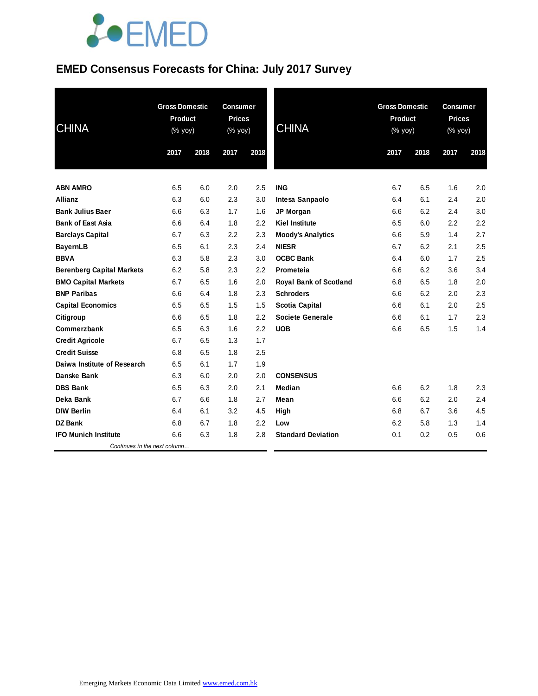#### **EMED Consensus Forecasts for China: July 2017 Survey**

| <b>CHINA</b>                     | <b>Gross Domestic</b><br><b>Product</b><br>(% yoy) |      | <b>Consumer</b><br><b>Prices</b><br>(% yoy) |      | <b>CHINA</b>                  | <b>Gross Domestic</b><br><b>Product</b><br>(% yoy) |      | <b>Consumer</b><br><b>Prices</b><br>(% yoy) |      |
|----------------------------------|----------------------------------------------------|------|---------------------------------------------|------|-------------------------------|----------------------------------------------------|------|---------------------------------------------|------|
|                                  | 2017                                               | 2018 | 2017                                        | 2018 |                               | 2017                                               | 2018 | 2017                                        | 2018 |
| <b>ABN AMRO</b>                  | 6.5                                                | 6.0  | 2.0                                         | 2.5  | <b>ING</b>                    | 6.7                                                | 6.5  | 1.6                                         | 2.0  |
| <b>Allianz</b>                   | 6.3                                                | 6.0  | 2.3                                         | 3.0  | Intesa Sanpaolo               | 6.4                                                | 6.1  | 2.4                                         | 2.0  |
| <b>Bank Julius Baer</b>          | 6.6                                                | 6.3  | 1.7                                         | 1.6  | JP Morgan                     | 6.6                                                | 6.2  | 2.4                                         | 3.0  |
| <b>Bank of East Asia</b>         | 6.6                                                | 6.4  | 1.8                                         | 2.2  | <b>Kiel Institute</b>         | 6.5                                                | 6.0  | 2.2                                         | 2.2  |
| <b>Barclays Capital</b>          | 6.7                                                | 6.3  | 2.2                                         | 2.3  | <b>Moody's Analytics</b>      | 6.6                                                | 5.9  | 1.4                                         | 2.7  |
| <b>BayernLB</b>                  | 6.5                                                | 6.1  | 2.3                                         | 2.4  | <b>NIESR</b>                  | 6.7                                                | 6.2  | 2.1                                         | 2.5  |
| <b>BBVA</b>                      | 6.3                                                | 5.8  | 2.3                                         | 3.0  | <b>OCBC Bank</b>              | 6.4                                                | 6.0  | 1.7                                         | 2.5  |
| <b>Berenberg Capital Markets</b> | 6.2                                                | 5.8  | 2.3                                         | 2.2  | Prometeia                     | 6.6                                                | 6.2  | 3.6                                         | 3.4  |
| <b>BMO Capital Markets</b>       | 6.7                                                | 6.5  | 1.6                                         | 2.0  | <b>Royal Bank of Scotland</b> | 6.8                                                | 6.5  | 1.8                                         | 2.0  |
| <b>BNP Paribas</b>               | 6.6                                                | 6.4  | 1.8                                         | 2.3  | <b>Schroders</b>              | 6.6                                                | 6.2  | 2.0                                         | 2.3  |
| <b>Capital Economics</b>         | 6.5                                                | 6.5  | 1.5                                         | 1.5  | <b>Scotia Capital</b>         | 6.6                                                | 6.1  | 2.0                                         | 2.5  |
| Citigroup                        | 6.6                                                | 6.5  | 1.8                                         | 2.2  | <b>Societe Generale</b>       | 6.6                                                | 6.1  | 1.7                                         | 2.3  |
| Commerzbank                      | 6.5                                                | 6.3  | 1.6                                         | 2.2  | <b>UOB</b>                    | 6.6                                                | 6.5  | 1.5                                         | 1.4  |
| <b>Credit Agricole</b>           | 6.7                                                | 6.5  | 1.3                                         | 1.7  |                               |                                                    |      |                                             |      |
| <b>Credit Suisse</b>             | 6.8                                                | 6.5  | 1.8                                         | 2.5  |                               |                                                    |      |                                             |      |
| Daiwa Institute of Research      | 6.5                                                | 6.1  | 1.7                                         | 1.9  |                               |                                                    |      |                                             |      |
| Danske Bank                      | 6.3                                                | 6.0  | 2.0                                         | 2.0  | <b>CONSENSUS</b>              |                                                    |      |                                             |      |
| <b>DBS Bank</b>                  | 6.5                                                | 6.3  | 2.0                                         | 2.1  | <b>Median</b>                 | 6.6                                                | 6.2  | 1.8                                         | 2.3  |
| Deka Bank                        | 6.7                                                | 6.6  | 1.8                                         | 2.7  | Mean                          | 6.6                                                | 6.2  | 2.0                                         | 2.4  |
| <b>DIW Berlin</b>                | 6.4                                                | 6.1  | 3.2                                         | 4.5  | High                          | 6.8                                                | 6.7  | 3.6                                         | 4.5  |
| <b>DZ Bank</b>                   | 6.8                                                | 6.7  | 1.8                                         | 2.2  | Low                           | 6.2                                                | 5.8  | 1.3                                         | 1.4  |
| <b>IFO Munich Institute</b>      | 6.6                                                | 6.3  | 1.8                                         | 2.8  | <b>Standard Deviation</b>     | 0.1                                                | 0.2  | 0.5                                         | 0.6  |
| Continues in the next column     |                                                    |      |                                             |      |                               |                                                    |      |                                             |      |